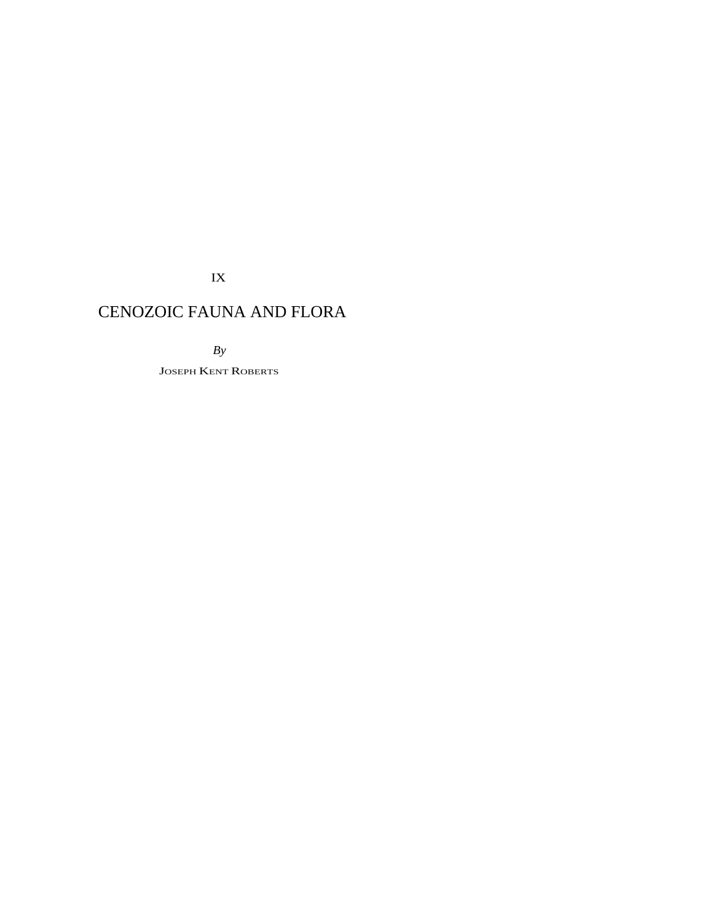IX

# CENOZOIC FAUNA AND FLORA

*By* 

JOSEPH KENT ROBERTS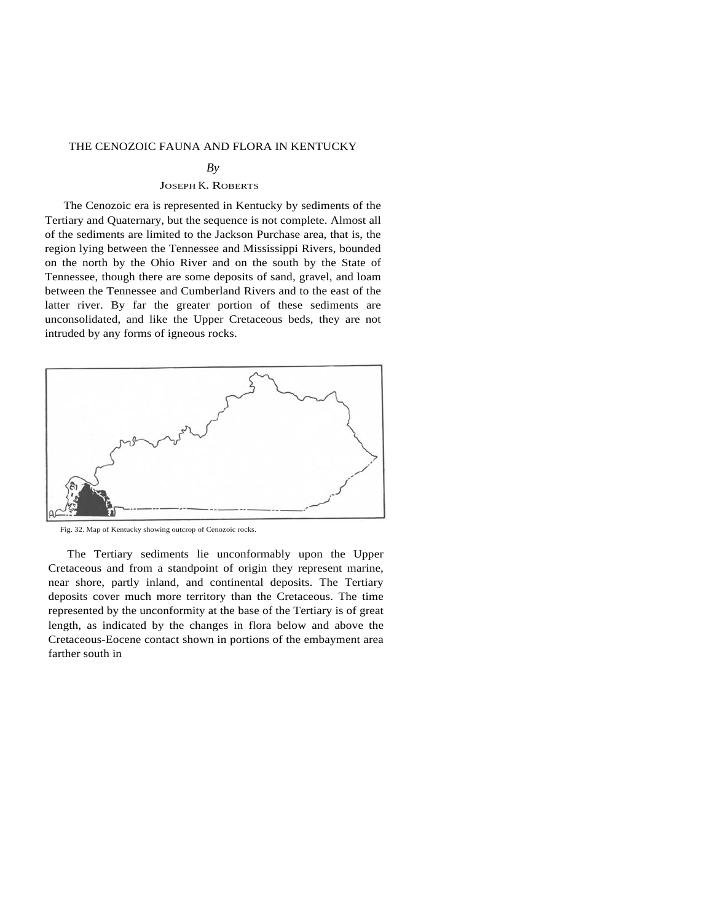# THE CENOZOIC FAUNA AND FLORA IN KENTUCKY

#### $Bv$

# JOSEPH K. ROBERTS

The Cenozoic era is represented in Kentucky by sediments of the Tertiary and Quaternary, but the sequence is not complete. Almost all of the sediments are limited to the Jackson Purchase area, that is, the region lying between the Tennessee and Mississippi Rivers, bounded on the north by the Ohio River and on the south by the State of Tennessee, though there are some deposits of sand, gravel, and loam between the Tennessee and Cumberland Rivers and to the east of the latter river. By far the greater portion of these sediments are unconsolidated, and like the Upper Cretaceous beds, they are not intruded by any forms of igneous rocks.



Fig. 32. Map of Kentucky showing outcrop of Cenozoic rocks.

The Tertiary sediments lie unconformably upon the Upper Cretaceous and from a standpoint of origin they represent marine, near shore, partly inland, and continental deposits. The Tertiary deposits cover much more territory than the Cretaceous. The time represented by the unconformity at the base of the Tertiary is of great length, as indicated by the changes in flora below and above the Cretaceous-Eocene contact shown in portions of the embayment area farther south in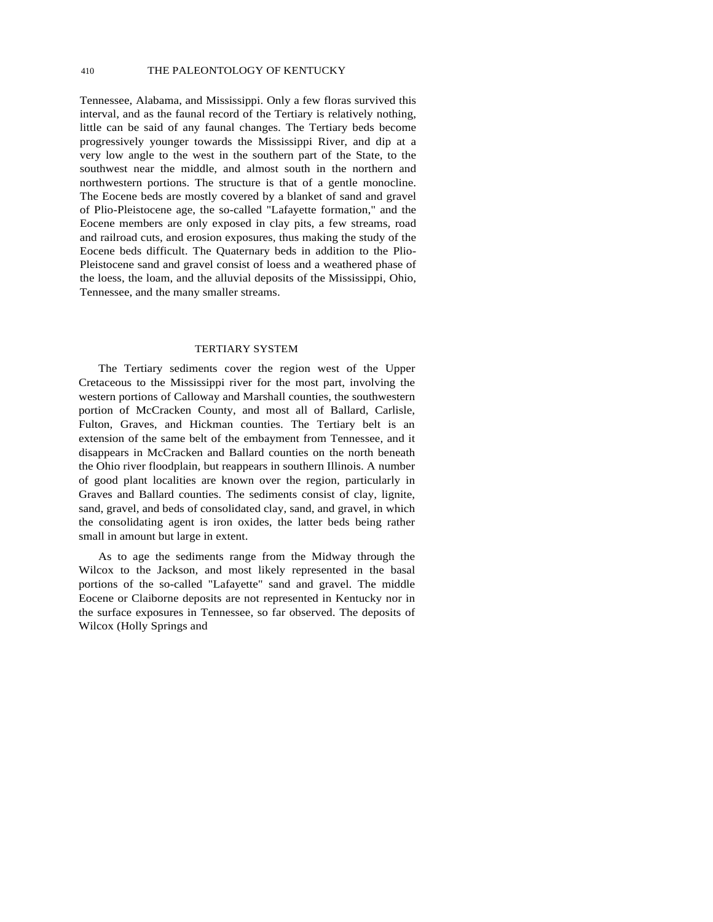Tennessee, Alabama, and Mississippi. Only a few floras survived this interval, and as the faunal record of the Tertiary is relatively nothing, little can be said of any faunal changes. The Tertiary beds become progressively younger towards the Mississippi River, and dip at a very low angle to the west in the southern part of the State, to the southwest near the middle, and almost south in the northern and northwestern portions. The structure is that of a gentle monocline. The Eocene beds are mostly covered by a blanket of sand and gravel of Plio-Pleistocene age, the so-called "Lafayette formation," and the Eocene members are only exposed in clay pits, a few streams, road and railroad cuts, and erosion exposures, thus making the study of the Eocene beds difficult. The Quaternary beds in addition to the Plio-Pleistocene sand and gravel consist of loess and a weathered phase of the loess, the loam, and the alluvial deposits of the Mississippi, Ohio, Tennessee, and the many smaller streams.

#### TERTIARY SYSTEM

The Tertiary sediments cover the region west of the Upper Cretaceous to the Mississippi river for the most part, involving the western portions of Calloway and Marshall counties, the southwestern portion of McCracken County, and most all of Ballard, Carlisle, Fulton, Graves, and Hickman counties. The Tertiary belt is an extension of the same belt of the embayment from Tennessee, and it disappears in McCracken and Ballard counties on the north beneath the Ohio river floodplain, but reappears in southern Illinois. A number of good plant localities are known over the region, particularly in Graves and Ballard counties. The sediments consist of clay, lignite, sand, gravel, and beds of consolidated clay, sand, and gravel, in which the consolidating agent is iron oxides, the latter beds being rather small in amount but large in extent.

As to age the sediments range from the Midway through the Wilcox to the Jackson, and most likely represented in the basal portions of the so-called "Lafayette" sand and gravel. The middle Eocene or Claiborne deposits are not represented in Kentucky nor in the surface exposures in Tennessee, so far observed. The deposits of Wilcox (Holly Springs and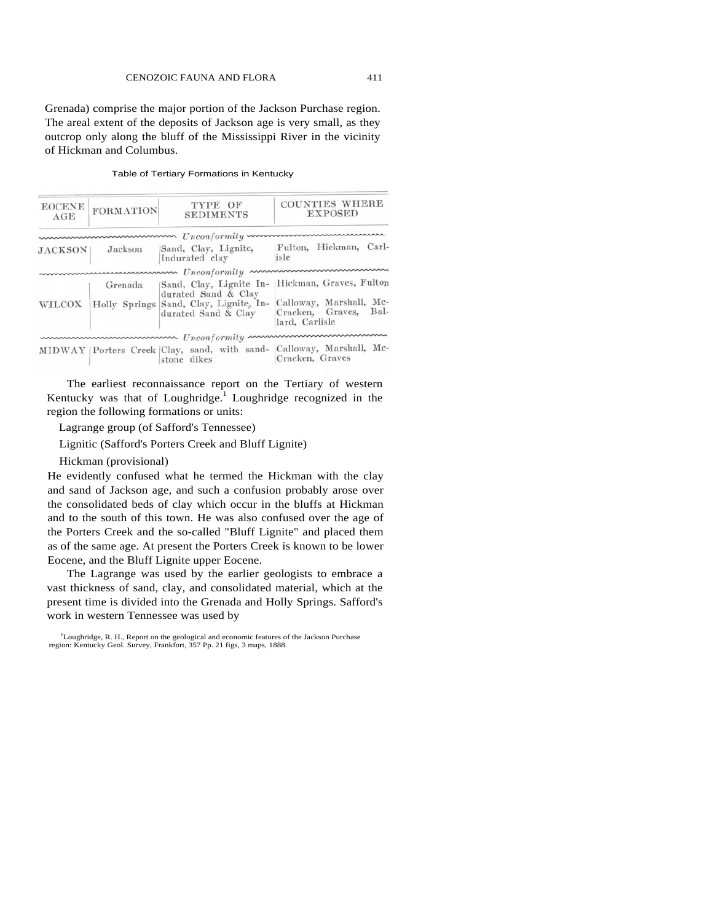Grenada) comprise the major portion of the Jackson Purchase region. The areal extent of the deposits of Jackson age is very small, as they outcrop only along the bluff of the Mississippi River in the vicinity of Hickman and Columbus.

| <b>EOCENE</b><br>AGE | <b>FORMATION</b> | TYPE OF<br><b>SEDIMENTS</b>                                                                                     | <b>COUNTIES WHERE</b><br><b>EXPOSED</b>                                                       |
|----------------------|------------------|-----------------------------------------------------------------------------------------------------------------|-----------------------------------------------------------------------------------------------|
|                      |                  |                                                                                                                 |                                                                                               |
| <b>JACKSON</b>       | Jackson          | Sand, Clay, Lignite,<br>Indurated clay                                                                          | Fulton, Hickman, Carl-<br>isle                                                                |
|                      |                  | mummummummum Unconformity mum                                                                                   |                                                                                               |
| <b>WILCOX</b>        | Grenada          | Sand, Clay, Lignite In-<br>durated Sand & Clay<br>Holly Springs Sand, Clay, Lignite, In-<br>durated Sand & Clay | Hickman, Graves, Fulton<br>Calloway, Marshall, Mc-<br>Cracken, Graves, Bal-<br>lard, Carlisle |
|                      |                  | www.www.www.www. Unconformity www.www.www.www.                                                                  |                                                                                               |
|                      |                  | stone dikes                                                                                                     | MIDWAY   Porters Creek   Clay, sand, with sand-   Calloway, Marshall, Mc-<br>Cracken, Graves  |

#### Table of Tertiary Formations in Kentucky

The earliest reconnaissance report on the Tertiary of western Kentucky was that of Loughridge.<sup>1</sup> Loughridge recognized in the region the following formations or units:

Lagrange group (of Safford's Tennessee)

Lignitic (Safford's Porters Creek and Bluff Lignite)

Hickman (provisional)

He evidently confused what he termed the Hickman with the clay and sand of Jackson age, and such a confusion probably arose over the consolidated beds of clay which occur in the bluffs at Hickman and to the south of this town. He was also confused over the age of the Porters Creek and the so-called "Bluff Lignite" and placed them as of the same age. At present the Porters Creek is known to be lower Eocene, and the Bluff Lignite upper Eocene.

The Lagrange was used by the earlier geologists to embrace a vast thickness of sand, clay, and consolidated material, which at the present time is divided into the Grenada and Holly Springs. Safford's work in western Tennessee was used by

<sup>&</sup>lt;sup>1</sup>Loughridge, R. H., Report on the geological and economic features of the Jackson Purchase region: Kentucky Geol. Survey, Frankfort, 357 Pp. 21 figs, 3 maps, 1888.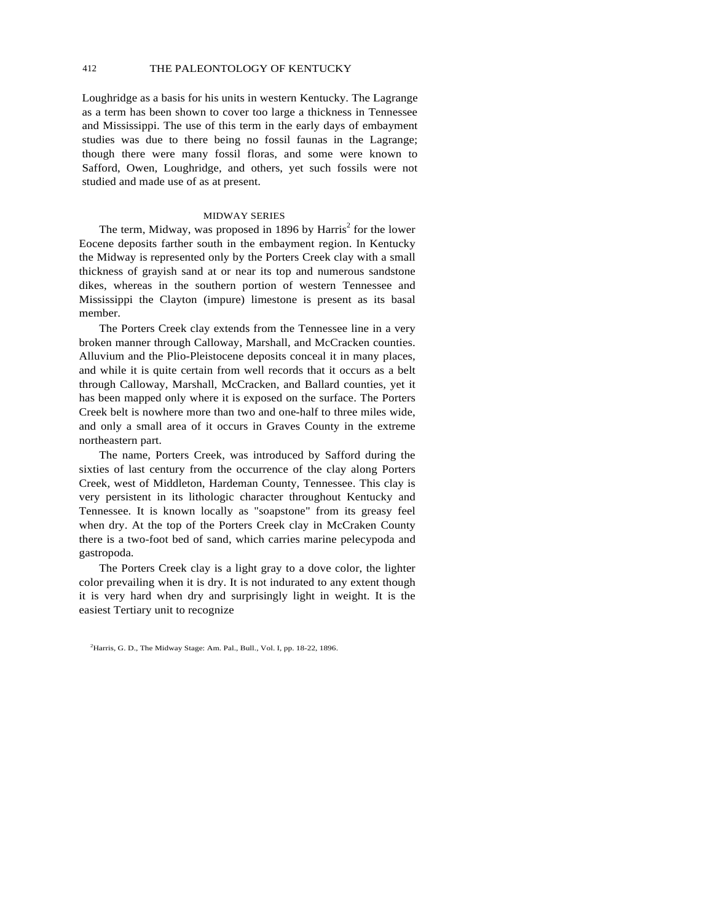Loughridge as a basis for his units in western Kentucky. The Lagrange as a term has been shown to cover too large a thickness in Tennessee and Mississippi. The use of this term in the early days of embayment studies was due to there being no fossil faunas in the Lagrange; though there were many fossil floras, and some were known to Safford, Owen, Loughridge, and others, yet such fossils were not studied and made use of as at present.

#### MIDWAY SERIES

The term, Midway, was proposed in 1896 by Harris<sup>2</sup> for the lower Eocene deposits farther south in the embayment region. In Kentucky the Midway is represented only by the Porters Creek clay with a small thickness of grayish sand at or near its top and numerous sandstone dikes, whereas in the southern portion of western Tennessee and Mississippi the Clayton (impure) limestone is present as its basal member.

The Porters Creek clay extends from the Tennessee line in a very broken manner through Calloway, Marshall, and McCracken counties. Alluvium and the Plio-Pleistocene deposits conceal it in many places, and while it is quite certain from well records that it occurs as a belt through Calloway, Marshall, McCracken, and Ballard counties, yet it has been mapped only where it is exposed on the surface. The Porters Creek belt is nowhere more than two and one-half to three miles wide, and only a small area of it occurs in Graves County in the extreme northeastern part.

The name, Porters Creek, was introduced by Safford during the sixties of last century from the occurrence of the clay along Porters Creek, west of Middleton, Hardeman County, Tennessee. This clay is very persistent in its lithologic character throughout Kentucky and Tennessee. It is known locally as "soapstone" from its greasy feel when dry. At the top of the Porters Creek clay in McCraken County there is a two-foot bed of sand, which carries marine pelecypoda and gastropoda.

The Porters Creek clay is a light gray to a dove color, the lighter color prevailing when it is dry. It is not indurated to any extent though it is very hard when dry and surprisingly light in weight. It is the easiest Tertiary unit to recognize

<sup>&</sup>lt;sup>2</sup>Harris, G. D., The Midway Stage: Am. Pal., Bull., Vol. I, pp. 18-22, 1896.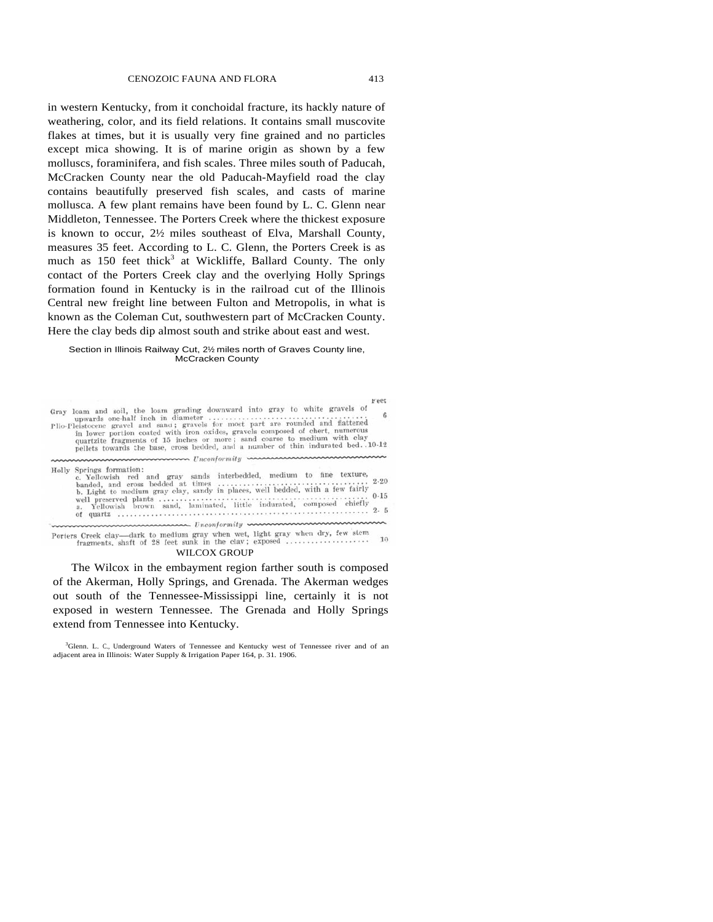in western Kentucky, from it conchoidal fracture, its hackly nature of weathering, color, and its field relations. It contains small muscovite flakes at times, but it is usually very fine grained and no particles except mica showing. It is of marine origin as shown by a few molluscs, foraminifera, and fish scales. Three miles south of Paducah, McCracken County near the old Paducah-Mayfield road the clay contains beautifully preserved fish scales, and casts of marine mollusca. A few plant remains have been found by L. C. Glenn near Middleton, Tennessee. The Porters Creek where the thickest exposure is known to occur, 2½ miles southeast of Elva, Marshall County, measures 35 feet. According to L. C. Glenn, the Porters Creek is as much as  $150$  feet thick<sup>3</sup> at Wickliffe, Ballard County. The only contact of the Porters Creek clay and the overlying Holly Springs formation found in Kentucky is in the railroad cut of the Illinois Central new freight line between Fulton and Metropolis, in what is known as the Coleman Cut, southwestern part of McCracken County. Here the clay beds dip almost south and strike about east and west.

#### Section in Illinois Railway Cut, 2½ miles north of Graves County line, McCracken County

| <b>Lest</b><br>Gray loam and soil, the loam grading downward into gray to white gravels of<br>Plio-Pleistocene gravel and sand; gravels for most part are rounded and flattened                                                                             |
|-------------------------------------------------------------------------------------------------------------------------------------------------------------------------------------------------------------------------------------------------------------|
| in lower portion coated with iron oxides, gravels composed of chert, numerous<br>quartzite fragments of 15 inches or more; sand coarse to medium with clay<br>pellets towards the base, cross bedded, and a number of thin indurated bed. . 10-12           |
|                                                                                                                                                                                                                                                             |
| Holly Springs formation:<br>c. Yellowish red and gray sands interbedded, medium to fine texture,<br>b. Light to medium gray clay, sandy in places, well bedded, with a few fairly<br>a. Yellowish brown sand, laminated, little indurated, composed chiefly |
| www.www.www.www. Unconformity www.www.www.www.ww                                                                                                                                                                                                            |
| Porters Creek clay-dark to medium gray when wet, light gray when dry, few stem<br>10<br>in the company of the company of the company of the company of the company of the company of the company of th                                                      |

fragments, shaft of 28 feet sunk in the clav; exposed ...................

#### WILCOX GROUP

The Wilcox in the embayment region farther south is composed of the Akerman, Holly Springs, and Grenada. The Akerman wedges out south of the Tennessee-Mississippi line, certainly it is not exposed in western Tennessee. The Grenada and Holly Springs extend from Tennessee into Kentucky.

3 Glenn. L. C., Underground Waters of Tennessee and Kentucky west of Tennessee river and of an adjacent area in Illinois: Water Supply & Irrigation Paper 164, p. 31. 1906.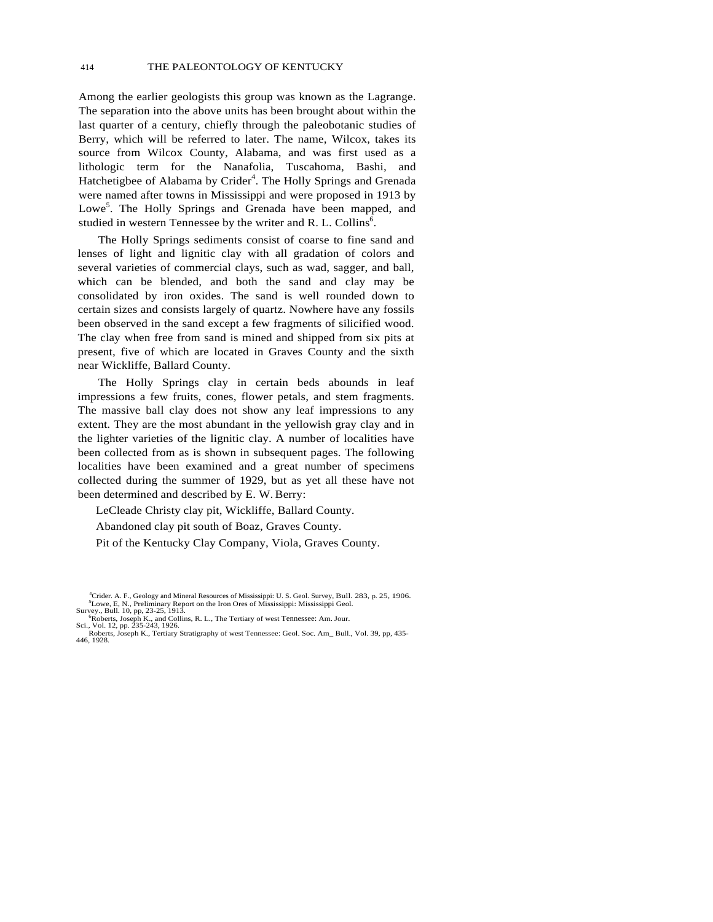Among the earlier geologists this group was known as the Lagrange. The separation into the above units has been brought about within the last quarter of a century, chiefly through the paleobotanic studies of Berry, which will be referred to later. The name, Wilcox, takes its source from Wilcox County, Alabama, and was first used as a lithologic term for the Nanafolia, Tuscahoma, Bashi, and Hatchetigbee of Alabama by Crider<sup>4</sup>. The Holly Springs and Grenada were named after towns in Mississippi and were proposed in 1913 by Lowe<sup>5</sup>. The Holly Springs and Grenada have been mapped, and studied in western Tennessee by the writer and R. L. Collins<sup>6</sup>.

The Holly Springs sediments consist of coarse to fine sand and lenses of light and lignitic clay with all gradation of colors and several varieties of commercial clays, such as wad, sagger, and ball, which can be blended, and both the sand and clay may be consolidated by iron oxides. The sand is well rounded down to certain sizes and consists largely of quartz. Nowhere have any fossils been observed in the sand except a few fragments of silicified wood. The clay when free from sand is mined and shipped from six pits at present, five of which are located in Graves County and the sixth near Wickliffe, Ballard County.

The Holly Springs clay in certain beds abounds in leaf impressions a few fruits, cones, flower petals, and stem fragments. The massive ball clay does not show any leaf impressions to any extent. They are the most abundant in the yellowish gray clay and in the lighter varieties of the lignitic clay. A number of localities have been collected from as is shown in subsequent pages. The following localities have been examined and a great number of specimens collected during the summer of 1929, but as yet all these have not been determined and described by E. W. Berry:

LeCleade Christy clay pit, Wickliffe, Ballard County.

Abandoned clay pit south of Boaz, Graves County.

Pit of the Kentucky Clay Company, Viola, Graves County.

<sup>&</sup>lt;sup>4</sup>Crider. A. F., Geology and Mineral Resources of Mississippi: U. S. Geol. Survey, Bull. 283, p. 25, 1906. <sup>5</sup>L Olie F. N. Praliminary Report on the Iron Ores of Mississippi: Mississippi Geol  ${}^5$ Lowe, E, N., Preliminary Report on the Iron Ores of Mississippi: Mississippi Geol. Survey., Bull. 10, pp. 23-25, 1913.

Survey., Bull. 10, pp, 23-25, 1913.<br>
"Roberts, Joseph K., and Collins, R. L., The Tertiary of west Tennessee: Am. Jour.<br>
Sci., Vol. 12, pp. 235-243, 1926.

Roberts, Joseph K., Tertiary Stratigraphy of west Tennessee: Geol. Soc. Am\_ Bull., Vol. 39, pp, 435- 446, 1928.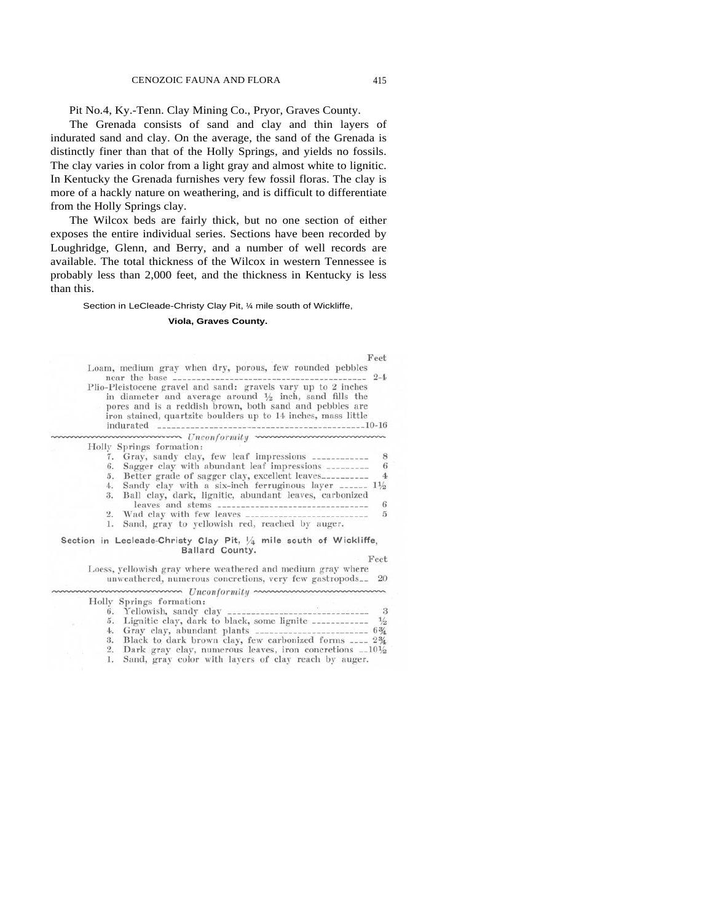Pit No.4, Ky.-Tenn. Clay Mining Co., Pryor, Graves County.

The Grenada consists of sand and clay and thin layers of indurated sand and clay. On the average, the sand of the Grenada is distinctly finer than that of the Holly Springs, and yields no fossils. The clay varies in color from a light gray and almost white to lignitic. In Kentucky the Grenada furnishes very few fossil floras. The clay is more of a hackly nature on weathering, and is difficult to differentiate from the Holly Springs clay.

The Wilcox beds are fairly thick, but no one section of either exposes the entire individual series. Sections have been recorded by Loughridge, Glenn, and Berry, and a number of well records are available. The total thickness of the Wilcox in western Tennessee is probably less than 2,000 feet, and the thickness in Kentucky is less than this.

#### Section in LeCleade-Christy Clay Pit, ¼ mile south of Wickliffe,

#### **Viola, Graves County.**

| Feet                                                                                                                                                                                                                                                           |
|----------------------------------------------------------------------------------------------------------------------------------------------------------------------------------------------------------------------------------------------------------------|
| Loam, medium gray when dry, porous, few rounded pebbles<br>$2 - 4$<br>near the base ___________                                                                                                                                                                |
| Plio-Pleistocene gravel and sand: gravels vary up to 2 inches<br>in diameter and average around $\frac{1}{2}$ inch, sand fills the<br>pores and is a reddish brown, both sand and pebbles are<br>iron stained, quartzite boulders up to 14 inches, mass little |
|                                                                                                                                                                                                                                                                |
| Holly Springs formation:                                                                                                                                                                                                                                       |
| Gray, sandy clay, few leaf impressions ____________<br>8<br>7.                                                                                                                                                                                                 |
| Sagger clay with abundant leaf impressions _________<br>6<br>6.                                                                                                                                                                                                |
| Better grade of sagger clay, excellent leaves<br>$\overline{4}$<br>5.                                                                                                                                                                                          |
| Sandy clay with a six-inch ferruginous layer $\ldots$ $1\frac{1}{2}$<br>4.                                                                                                                                                                                     |
| Ball clay, dark, lignitic, abundant leaves, carbonized<br>3.<br>leaves and stems ----------------------------------<br>6                                                                                                                                       |
| $\tilde{p}$<br>2.                                                                                                                                                                                                                                              |
| Sand, gray to yellowish red, reached by auger.<br>1.                                                                                                                                                                                                           |
| Section in Lecleade-Christy Clay Pit, $\frac{1}{4}$ mile south of Wickliffe,<br>Ballard County.                                                                                                                                                                |
| Feet                                                                                                                                                                                                                                                           |
| Loess, yellowish gray where weathered and medium gray where<br>unweathered, numerous concretions, very few gastropods <sub>--</sub> 20                                                                                                                         |
| mmmmmmmm Unconformity mmmmmmmmmmm                                                                                                                                                                                                                              |
| Holly Springs formation:                                                                                                                                                                                                                                       |
| 6.                                                                                                                                                                                                                                                             |
| Lignitic clay, dark to black, some lignite ___________ $\frac{1}{2}$<br>5.                                                                                                                                                                                     |
| Gray clay, abundant plants ______________________ 63/4<br>4.                                                                                                                                                                                                   |
| Black to dark brown clay, few carbonized forms ____ 2%<br>З.                                                                                                                                                                                                   |
| 2.<br>Dark gray clay, numerous leaves, iron concretions $-10\frac{1}{2}$                                                                                                                                                                                       |
| Sand, gray color with layers of clay reach by auger.                                                                                                                                                                                                           |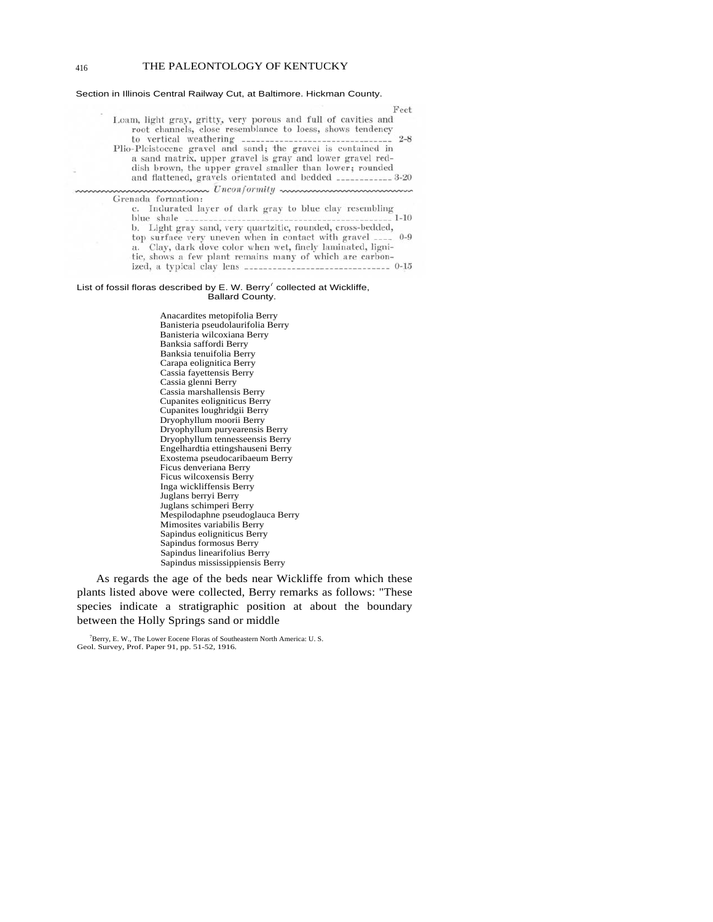#### 416 THE PALEONTOLOGY OF KENTUCKY

#### Section in Illinois Central Railway Cut, at Baltimore. Hickman County.

| Feet                                                                                                                                                                                                                                                   |
|--------------------------------------------------------------------------------------------------------------------------------------------------------------------------------------------------------------------------------------------------------|
| Loam, light gray, gritty, very porous and full of cavities and<br>root channels, close resemblance to loess, shows tendency                                                                                                                            |
| Plio-Pleistocene gravel and sand; the gravel is contained in<br>a sand matrix, upper gravel is gray and lower gravel red-<br>dish brown, the upper gravel smaller than lower; rounded<br>and flattened, gravels orientated and bedded ___________ 3-20 |
| mmmmmmmmmm Unconformity mmmmmmmmmmm                                                                                                                                                                                                                    |
| Grenada formation:                                                                                                                                                                                                                                     |
| c. Indurated layer of dark gray to blue clay resembling                                                                                                                                                                                                |
| b. Light gray sand, very quartzitic, rounded, cross-bedded,                                                                                                                                                                                            |
| top surface very uneven when in contact with gravel ____ 0-9<br>a. Clay, dark dove color when wet, finely laminated, ligni-<br>tic, shows a few plant remains many of which are carbon-                                                                |
| ized, a typical clay lens ____________________________ 0-15                                                                                                                                                                                            |

#### List of fossil floras described by E. W. Berry<sup>7</sup> collected at Wickliffe, Ballard County.

Anacardites metopifolia Berry Banisteria pseudolaurifolia Berry Banisteria wilcoxiana Berry Banksia saffordi Berry Banksia tenuifolia Berry Carapa eolignitica Berry Cassia fayettensis Berry Cassia glenni Berry Cassia marshallensis Berry Cupanites eoligniticus Berry Cupanites loughridgii Berry Dryophyllum moorii Berry Dryophyllum puryearensis Berry Dryophyllum tennesseensis Berry Engelhardtia ettingshauseni Berry Exostema pseudocaribaeum Berry Ficus denveriana Berry Ficus wilcoxensis Berry Inga wickliffensis Berry Juglans berryi Berry Juglans schimperi Berry Mespilodaphne pseudoglauca Berry Mimosites variabilis Berry Sapindus eoligniticus Berry Sapindus formosus Berry Sapindus linearifolius Berry Sapindus mississippiensis Berry

As regards the age of the beds near Wickliffe from which these plants listed above were collected, Berry remarks as follows: "These species indicate a stratigraphic position at about the boundary between the Holly Springs sand or middle

 $\sim$ 

<sup>7</sup> Berry, E. W., The Lower Eocene Floras of Southeastern North America: U. S. Geol. Survey, Prof. Paper 91, pp. 51-52, 1916.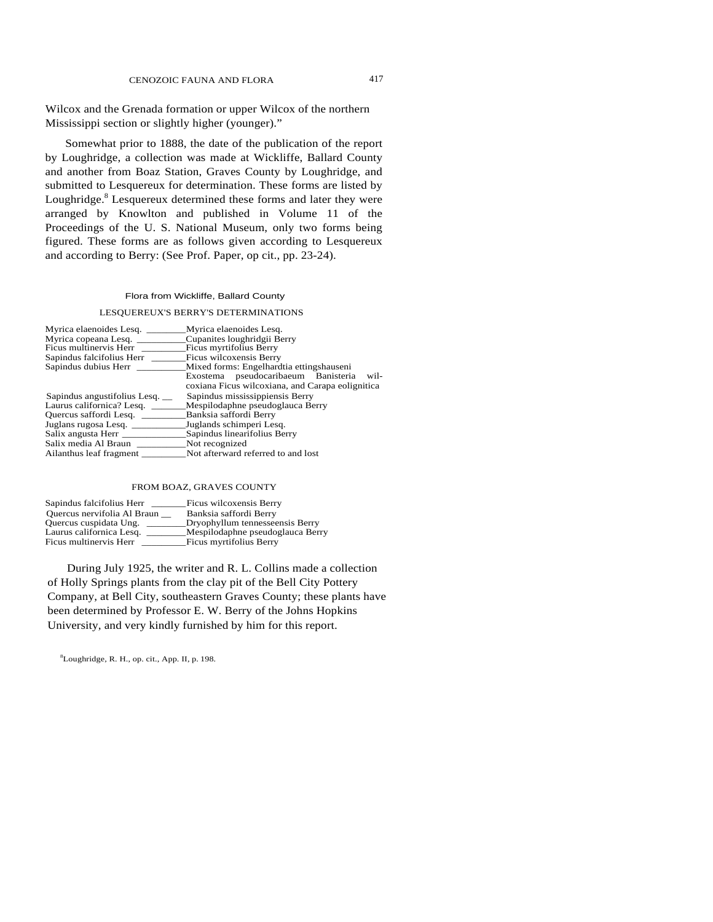Wilcox and the Grenada formation or upper Wilcox of the northern Mississippi section or slightly higher (younger)."

Somewhat prior to 1888, the date of the publication of the report by Loughridge, a collection was made at Wickliffe, Ballard County and another from Boaz Station, Graves County by Loughridge, and submitted to Lesquereux for determination. These forms are listed by Loughridge.<sup>8</sup> Lesquereux determined these forms and later they were arranged by Knowlton and published in Volume 11 of the Proceedings of the U. S. National Museum, only two forms being figured. These forms are as follows given according to Lesquereux and according to Berry: (See Prof. Paper, op cit., pp. 23-24).

#### Flora from Wickliffe, Ballard County

# LESQUEREUX'S BERRY'S DETERMINATIONS

| Myrica elaenoides Lesq.            | Myrica elaenoides Lesq.                                                                      |
|------------------------------------|----------------------------------------------------------------------------------------------|
| Myrica copeana Lesq.               | Cupanites loughridgii Berry                                                                  |
| Ficus multinervis Herr             | Ficus myrtifolius Berry                                                                      |
| Sapindus falcifolius Herr          | Ficus wilcoxensis Berry                                                                      |
|                                    | Mixed forms: Engelhardtia ettingshauseni                                                     |
|                                    | Exostema pseudocaribaeum Banisteria wil-<br>coxiana Ficus wilcoxiana, and Carapa eolignitica |
| Sapindus angustifolius Lesq. __    | Sapindus mississippiensis Berry                                                              |
| Laurus californica? Lesq. ________ | Mespilodaphne pseudoglauca Berry                                                             |
| Quercus saffordi Lesq.             | Banksia saffordi Berry                                                                       |
| Juglans rugosa Lesq.               | Juglands schimperi Lesq.                                                                     |
|                                    | Sapindus linearifolius Berry                                                                 |
| Salix media Al Braun               | Not recognized                                                                               |
| Ailanthus leaf fragment            | Not afterward referred to and lost                                                           |

#### FROM BOAZ, GRAVES COUNTY

| Sapindus falcifolius Herr   | Ficus wilcoxensis Berry          |
|-----------------------------|----------------------------------|
| Quercus nervifolia Al Braun | Banksia saffordi Berry           |
| Quercus cuspidata Ung.      | Dryophyllum tennesseensis Berry  |
| Laurus californica Lesq.    | Mespilodaphne pseudoglauca Berry |
| Ficus multinervis Herr      | Ficus myrtifolius Berry          |

During July 1925, the writer and R. L. Collins made a collection of Holly Springs plants from the clay pit of the Bell City Pottery Company, at Bell City, southeastern Graves County; these plants have been determined by Professor E. W. Berry of the Johns Hopkins University, and very kindly furnished by him for this report.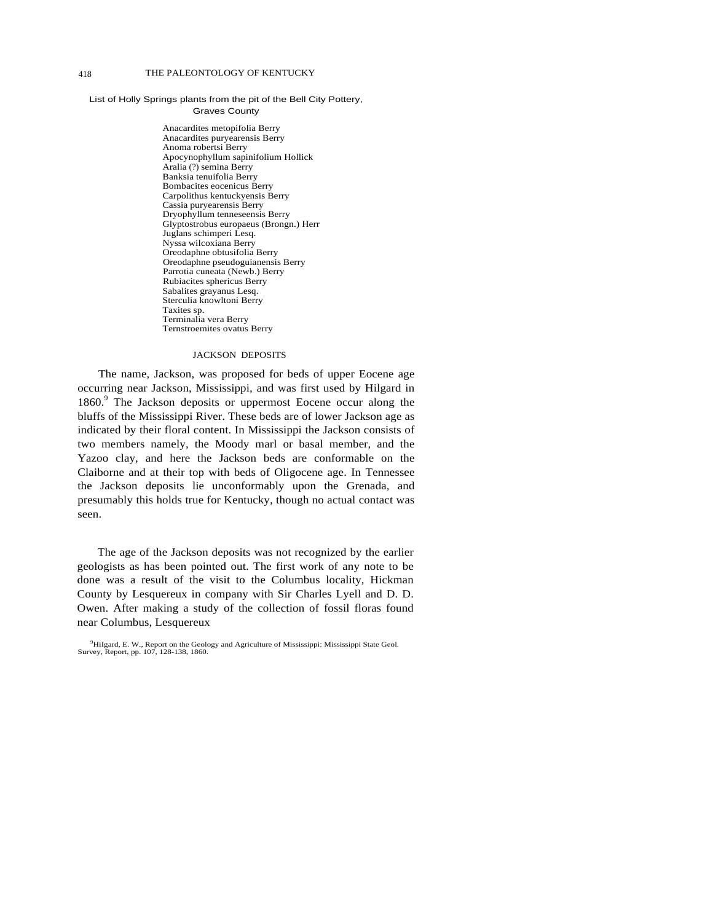## List of Holly Springs plants from the pit of the Bell City Pottery, Graves County

Anacardites metopifolia Berry Anacardites puryearensis Berry Anoma robertsi Berry Apocynophyllum sapinifolium Hollick Aralia (?) semina Berry Banksia tenuifolia Berry Bombacites eocenicus Berry Carpolithus kentuckyensis Berry Cassia puryearensis Berry Dryophyllum tenneseensis Berry Glyptostrobus europaeus (Brongn.) Herr Juglans schimperi Lesq. Nyssa wilcoxiana Berry Oreodaphne obtusifolia Berry Oreodaphne pseudoguianensis Berry Parrotia cuneata (Newb.) Berry Rubiacites sphericus Berry Sabalites grayanus Lesq. Sterculia knowltoni Berry Taxites sp. Terminalia vera Berry Ternstroemites ovatus Berry

#### JACKSON DEPOSITS

The name, Jackson, was proposed for beds of upper Eocene age occurring near Jackson, Mississippi, and was first used by Hilgard in 1860.<sup>9</sup> The Jackson deposits or uppermost Eocene occur along the bluffs of the Mississippi River. These beds are of lower Jackson age as indicated by their floral content. In Mississippi the Jackson consists of two members namely, the Moody marl or basal member, and the Yazoo clay, and here the Jackson beds are conformable on the Claiborne and at their top with beds of Oligocene age. In Tennessee the Jackson deposits lie unconformably upon the Grenada, and presumably this holds true for Kentucky, though no actual contact was seen.

The age of the Jackson deposits was not recognized by the earlier geologists as has been pointed out. The first work of any note to be done was a result of the visit to the Columbus locality, Hickman County by Lesquereux in company with Sir Charles Lyell and D. D. Owen. After making a study of the collection of fossil floras found near Columbus, Lesquereux

<sup>&</sup>lt;sup>9</sup>HiIgard, E. W., Report on the Geology and Agriculture of Mississippi: Mississippi State Geol. Survey, Report, pp. 107, 128-138, 1860.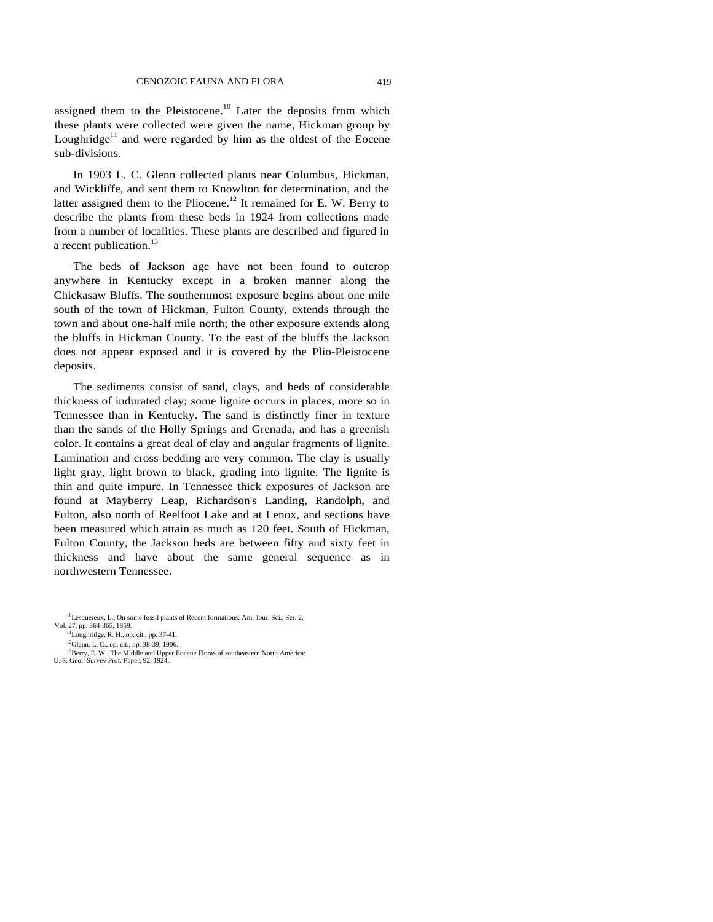assigned them to the Pleistocene.<sup>10</sup> Later the deposits from which these plants were collected were given the name, Hickman group by Loughridge<sup>11</sup> and were regarded by him as the oldest of the Eocene sub-divisions.

In 1903 L. C. Glenn collected plants near Columbus, Hickman, and Wickliffe, and sent them to Knowlton for determination, and the latter assigned them to the Pliocene.<sup>12</sup> It remained for E. W. Berry to describe the plants from these beds in 1924 from collections made from a number of localities. These plants are described and figured in a recent publication.<sup>13</sup>

The beds of Jackson age have not been found to outcrop anywhere in Kentucky except in a broken manner along the Chickasaw Bluffs. The southernmost exposure begins about one mile south of the town of Hickman, Fulton County, extends through the town and about one-half mile north; the other exposure extends along the bluffs in Hickman County. To the east of the bluffs the Jackson does not appear exposed and it is covered by the Plio-Pleistocene deposits.

The sediments consist of sand, clays, and beds of considerable thickness of indurated clay; some lignite occurs in places, more so in Tennessee than in Kentucky. The sand is distinctly finer in texture than the sands of the Holly Springs and Grenada, and has a greenish color. It contains a great deal of clay and angular fragments of lignite. Lamination and cross bedding are very common. The clay is usually light gray, light brown to black, grading into lignite. The lignite is thin and quite impure. In Tennessee thick exposures of Jackson are found at Mayberry Leap, Richardson's Landing, Randolph, and Fulton, also north of Reelfoot Lake and at Lenox, and sections have been measured which attain as much as 120 feet. South of Hickman, Fulton County, the Jackson beds are between fifty and sixty feet in thickness and have about the same general sequence as in northwestern Tennessee.

 $10$ Lesquereux, L., On some fossil plants of Recent formations: Am. Jour. Sci., Ser. 2, Vol. 27, pp. 364-365, 1859.

 $^{11}$ Loughridge, R. H., op. cit., pp. 37-41.

<sup>12</sup>Glenn. L. C., op. cit., pp. 38-39, 1906.

<sup>&</sup>lt;sup>13</sup>Berry, E. W., The Middle and Upper Eocene Floras of southeastern North America: U. S. Geol. Survey Prof. Paper, 92, 1924.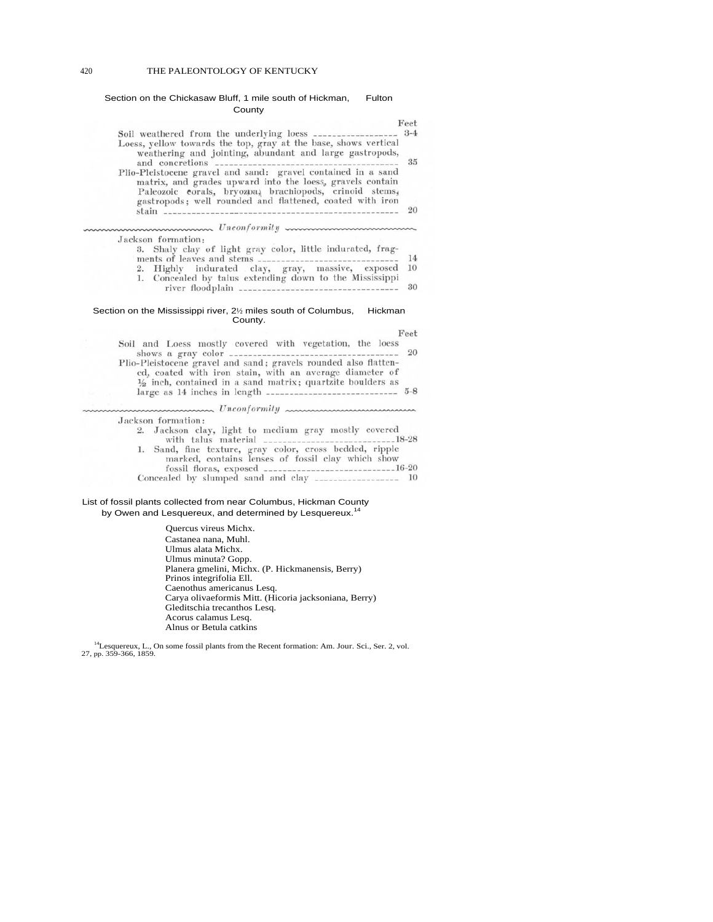#### 420 THE PALEONTOLOGY OF KENTUCKY

#### Section on the Chickasaw Bluff, 1 mile south of Hickman, Fulton County

|                                                                                                                                                                                                                                                                                                                     | Feet           |
|---------------------------------------------------------------------------------------------------------------------------------------------------------------------------------------------------------------------------------------------------------------------------------------------------------------------|----------------|
| Soil weathered from the underlying loess __________________<br>Loess, yellow towards the top, gray at the base, shows vertical<br>weathering and jointing, abundant and large gastropods,                                                                                                                           | $3-4$<br>35    |
| Plio-Pleistocene gravel and sand: gravel contained in a sand<br>matrix, and grades upward into the loess, gravels contain<br>Paleozoic corals, bryozpa, brachiopods, crinoid stems,<br>gastropods; well rounded and flattened, coated with iron                                                                     | $-20$          |
|                                                                                                                                                                                                                                                                                                                     |                |
| Jackson formation:<br>3. Shaly clay of light gray color, little indurated, frag-<br>ments of leaves and stems __________<br>2. Highly indurated clay, gray, massive, exposed<br>1. Concealed by talus extending down to the Mississippi                                                                             | 14<br>10<br>30 |
| Section on the Mississippi river, 2 <sup>1/2</sup> miles south of Columbus, Hickman<br>County.                                                                                                                                                                                                                      |                |
| Soil and Loess mostly covered with vegetation, the loess<br>ed, coated with iron stain, with an average diameter of<br>$\frac{1}{2}$ inch, contained in a sand matrix; quartzite boulders as                                                                                                                        | Feet<br>20     |
| mmmmmmm Unconformity mmmmmmmmmmm                                                                                                                                                                                                                                                                                    |                |
| Jackson formation:<br>2. Jackson clay, light to medium gray mostly covered<br>with talus material ________________________________18-28<br>1. Sand, fine texture, gray color, cross bedded, ripple<br>marked, contains lenses of fossil clay which show<br>Concealed by slumped sand and clay __________________ 10 |                |
| List of fossil plants collected from near Columbus, Hickman County<br>by Owen and Lesquereux, and determined by Lesquereux. <sup>14</sup>                                                                                                                                                                           |                |
| Quercus vireus Michx.                                                                                                                                                                                                                                                                                               |                |
| $C_{1}$ 1.1                                                                                                                                                                                                                                                                                                         |                |

Castanea nana, Muhl. Ulmus alata Michx. Ulmus minuta? Gopp. Planera gmelini, Michx. (P. Hickmanensis, Berry) Prinos integrifolia Ell. Caenothus americanus Lesq. Carya olivaeformis Mitt. (Hicoria jacksoniana, Berry) Gleditschia trecanthos Lesq. Acorus calamus Lesq. Alnus or Betula catkins

<sup>14</sup>Lesquereux, L., On some fossil plants from the Recent formation: Am. Jour. Sci., Ser. 2, vol. 27, pp. 359-366, 1859.

k,

×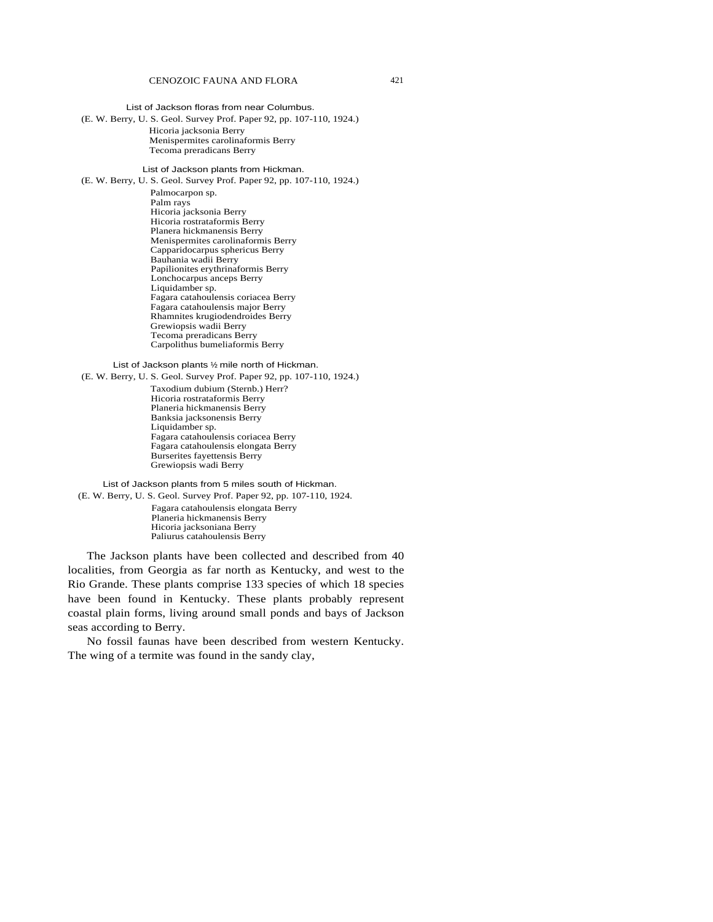List of Jackson floras from near Columbus.

(E. W. Berry, U. S. Geol. Survey Prof. Paper 92, pp. 107-110, 1924.) Hicoria jacksonia Berry Menispermites carolinaformis Berry Tecoma preradicans Berry

List of Jackson plants from Hickman.

(E. W. Berry, U. S. Geol. Survey Prof. Paper 92, pp. 107-110, 1924.)

Palmocarpon sp. Palm rays Hicoria jacksonia Berry Hicoria rostrataformis Berry Planera hickmanensis Berry Menispermites carolinaformis Berry Capparidocarpus sphericus Berry Bauhania wadii Berry Papilionites erythrinaformis Berry Lonchocarpus anceps Berry Liquidamber sp. Fagara catahoulensis coriacea Berry Fagara catahoulensis major Berry Rhamnites krugiodendroides Berry Grewiopsis wadii Berry Tecoma preradicans Berry Carpolithus bumeliaformis Berry

List of Jackson plants ½ mile north of Hickman.

(E. W. Berry, U. S. Geol. Survey Prof. Paper 92, pp. 107-110, 1924.)

Taxodium dubium (Sternb.) Herr? Hicoria rostrataformis Berry Planeria hickmanensis Berry Banksia jacksonensis Berry Liquidamber sp. Fagara catahoulensis coriacea Berry Fagara catahoulensis elongata Berry Burserites fayettensis Berry Grewiopsis wadi Berry

List of Jackson plants from 5 miles south of Hickman. (E. W. Berry, U. S. Geol. Survey Prof. Paper 92, pp. 107-110, 1924.

> Fagara catahoulensis elongata Berry Planeria hickmanensis Berry Hicoria jacksoniana Berry Paliurus catahoulensis Berry

The Jackson plants have been collected and described from 40 localities, from Georgia as far north as Kentucky, and west to the Rio Grande. These plants comprise 133 species of which 18 species have been found in Kentucky. These plants probably represent coastal plain forms, living around small ponds and bays of Jackson seas according to Berry.

No fossil faunas have been described from western Kentucky. The wing of a termite was found in the sandy clay,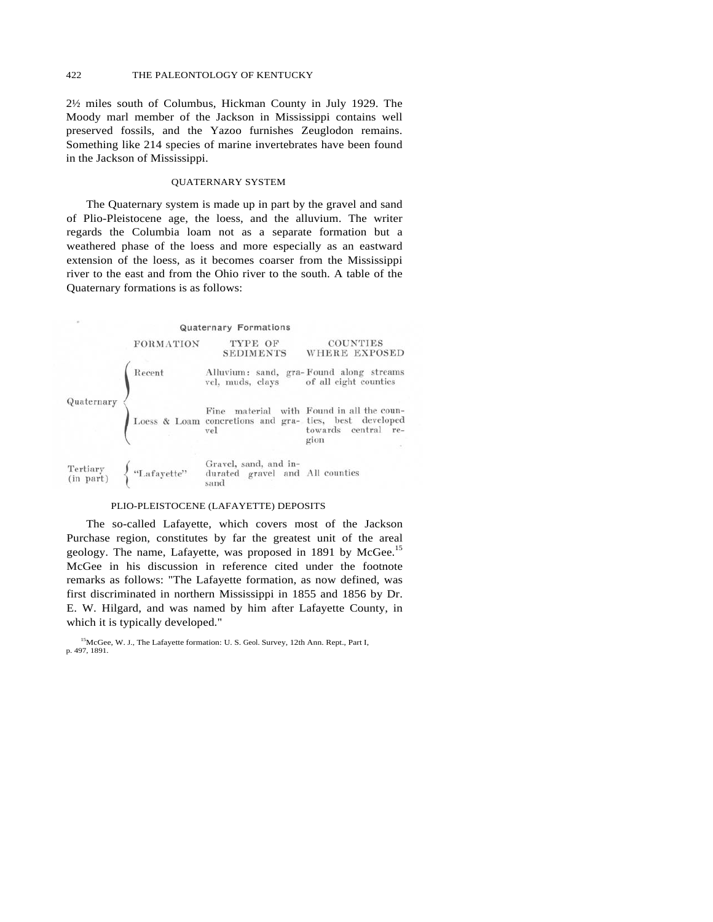2½ miles south of Columbus, Hickman County in July 1929. The Moody marl member of the Jackson in Mississippi contains well preserved fossils, and the Yazoo furnishes Zeuglodon remains. Something like 214 species of marine invertebrates have been found in the Jackson of Mississippi.

### QUATERNARY SYSTEM

The Quaternary system is made up in part by the gravel and sand of Plio-Pleistocene age, the loess, and the alluvium. The writer regards the Columbia loam not as a separate formation but a weathered phase of the loess and more especially as an eastward extension of the loess, as it becomes coarser from the Mississippi river to the east and from the Ohio river to the south. A table of the Quaternary formations is as follows:



# PLIO-PLEISTOCENE (LAFAYETTE) DEPOSITS

The so-called Lafayette, which covers most of the Jackson Purchase region, constitutes by far the greatest unit of the areal geology. The name, Lafayette, was proposed in 1891 by McGee.<sup>15</sup> McGee in his discussion in reference cited under the footnote remarks as follows: "The Lafayette formation, as now defined, was first discriminated in northern Mississippi in 1855 and 1856 by Dr. E. W. Hilgard, and was named by him after Lafayette County, in which it is typically developed."

<sup>&</sup>lt;sup>15</sup>McGee, W. J., The Lafayette formation: U. S. Geol. Survey, 12th Ann. Rept., Part I, p. 497, 1891.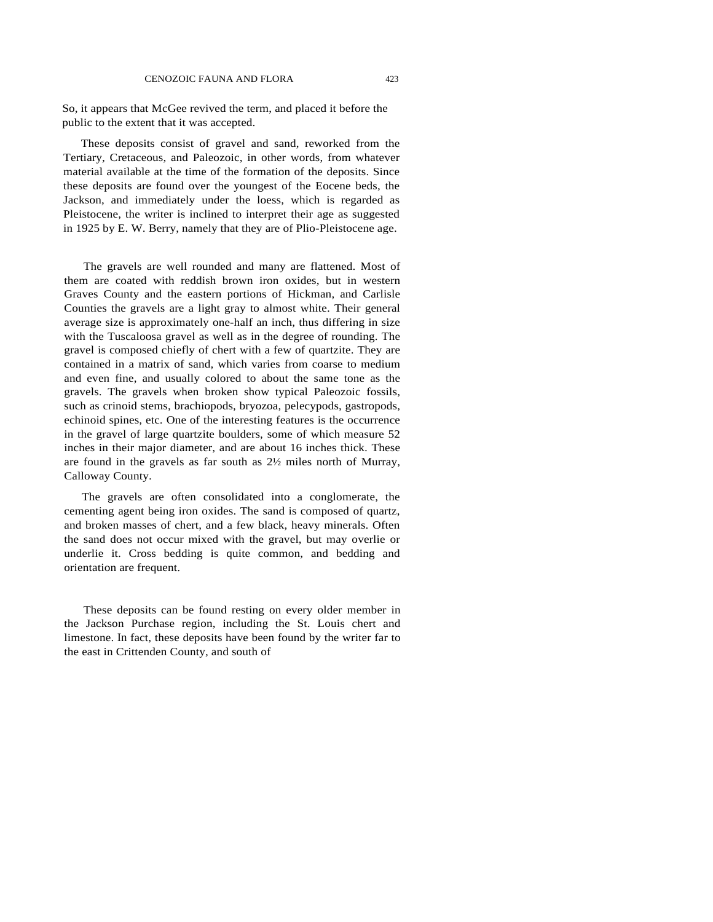So, it appears that McGee revived the term, and placed it before the public to the extent that it was accepted.

These deposits consist of gravel and sand, reworked from the Tertiary, Cretaceous, and Paleozoic, in other words, from whatever material available at the time of the formation of the deposits. Since these deposits are found over the youngest of the Eocene beds, the Jackson, and immediately under the loess, which is regarded as Pleistocene, the writer is inclined to interpret their age as suggested in 1925 by E. W. Berry, namely that they are of Plio-Pleistocene age.

The gravels are well rounded and many are flattened. Most of them are coated with reddish brown iron oxides, but in western Graves County and the eastern portions of Hickman, and Carlisle Counties the gravels are a light gray to almost white. Their general average size is approximately one-half an inch, thus differing in size with the Tuscaloosa gravel as well as in the degree of rounding. The gravel is composed chiefly of chert with a few of quartzite. They are contained in a matrix of sand, which varies from coarse to medium and even fine, and usually colored to about the same tone as the gravels. The gravels when broken show typical Paleozoic fossils, such as crinoid stems, brachiopods, bryozoa, pelecypods, gastropods, echinoid spines, etc. One of the interesting features is the occurrence in the gravel of large quartzite boulders, some of which measure 52 inches in their major diameter, and are about 16 inches thick. These are found in the gravels as far south as 2½ miles north of Murray, Calloway County.

The gravels are often consolidated into a conglomerate, the cementing agent being iron oxides. The sand is composed of quartz, and broken masses of chert, and a few black, heavy minerals. Often the sand does not occur mixed with the gravel, but may overlie or underlie it. Cross bedding is quite common, and bedding and orientation are frequent.

These deposits can be found resting on every older member in the Jackson Purchase region, including the St. Louis chert and limestone. In fact, these deposits have been found by the writer far to the east in Crittenden County, and south of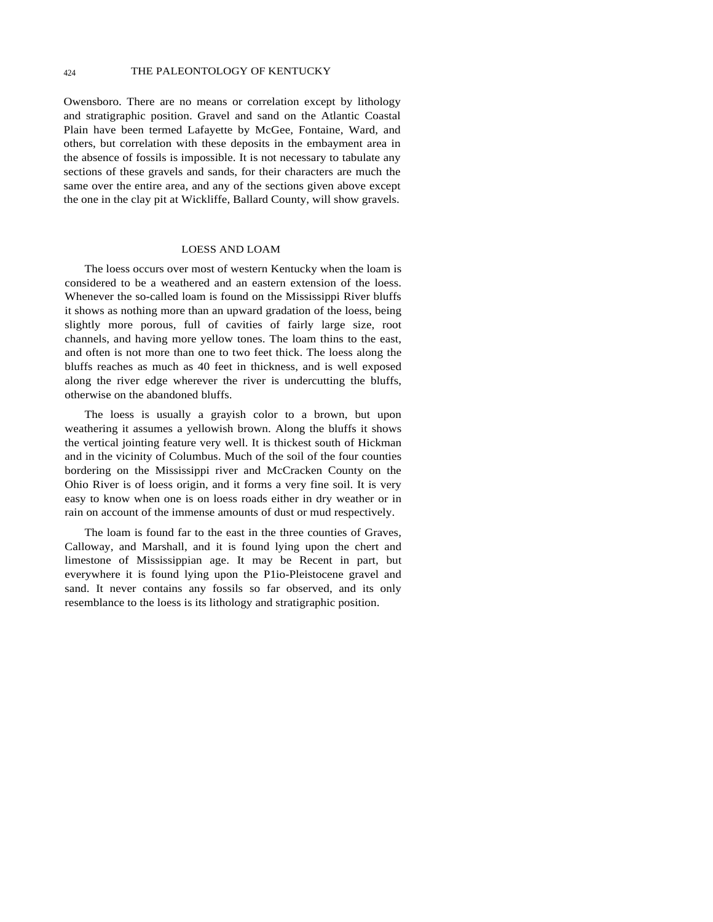Owensboro. There are no means or correlation except by lithology and stratigraphic position. Gravel and sand on the Atlantic Coastal Plain have been termed Lafayette by McGee, Fontaine, Ward, and others, but correlation with these deposits in the embayment area in the absence of fossils is impossible. It is not necessary to tabulate any sections of these gravels and sands, for their characters are much the same over the entire area, and any of the sections given above except the one in the clay pit at Wickliffe, Ballard County, will show gravels.

# LOESS AND LOAM

The loess occurs over most of western Kentucky when the loam is considered to be a weathered and an eastern extension of the loess. Whenever the so-called loam is found on the Mississippi River bluffs it shows as nothing more than an upward gradation of the loess, being slightly more porous, full of cavities of fairly large size, root channels, and having more yellow tones. The loam thins to the east, and often is not more than one to two feet thick. The loess along the bluffs reaches as much as 40 feet in thickness, and is well exposed along the river edge wherever the river is undercutting the bluffs, otherwise on the abandoned bluffs.

The loess is usually a grayish color to a brown, but upon weathering it assumes a yellowish brown. Along the bluffs it shows the vertical jointing feature very well. It is thickest south of Hickman and in the vicinity of Columbus. Much of the soil of the four counties bordering on the Mississippi river and McCracken County on the Ohio River is of loess origin, and it forms a very fine soil. It is very easy to know when one is on loess roads either in dry weather or in rain on account of the immense amounts of dust or mud respectively.

The loam is found far to the east in the three counties of Graves, Calloway, and Marshall, and it is found lying upon the chert and limestone of Mississippian age. It may be Recent in part, but everywhere it is found lying upon the P1io-Pleistocene gravel and sand. It never contains any fossils so far observed, and its only resemblance to the loess is its lithology and stratigraphic position.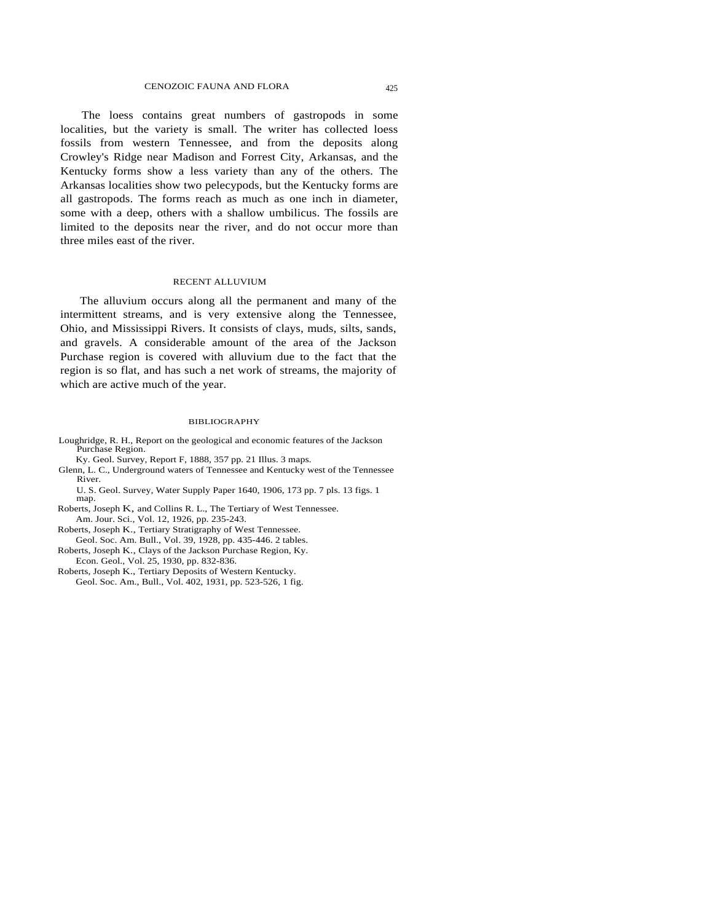The loess contains great numbers of gastropods in some localities, but the variety is small. The writer has collected loess fossils from western Tennessee, and from the deposits along Crowley's Ridge near Madison and Forrest City, Arkansas, and the Kentucky forms show a less variety than any of the others. The Arkansas localities show two pelecypods, but the Kentucky forms are all gastropods. The forms reach as much as one inch in diameter, some with a deep, others with a shallow umbilicus. The fossils are limited to the deposits near the river, and do not occur more than three miles east of the river.

#### RECENT ALLUVIUM

The alluvium occurs along all the permanent and many of the intermittent streams, and is very extensive along the Tennessee, Ohio, and Mississippi Rivers. It consists of clays, muds, silts, sands, and gravels. A considerable amount of the area of the Jackson Purchase region is covered with alluvium due to the fact that the region is so flat, and has such a net work of streams, the majority of which are active much of the year.

#### BIBLIOGRAPHY

Loughridge, R. H., Report on the geological and economic features of the Jackson Purchase Region.

Ky. Geol. Survey, Report F, 1888, 357 pp. 21 Illus. 3 maps.

Glenn, L. C., Underground waters of Tennessee and Kentucky west of the Tennessee River.

U. S. Geol. Survey, Water Supply Paper 1640, 1906, 173 pp. 7 pls. 13 figs. 1 map.

Roberts, Joseph K, and Collins R. L., The Tertiary of West Tennessee. Am. Jour. Sci., Vol. 12, 1926, pp. 235-243.

Roberts, Joseph K., Tertiary Stratigraphy of West Tennessee. Geol. Soc. Am. Bull., Vol. 39, 1928, pp. 435-446. 2 tables.

- Roberts, Joseph K., Clays of the Jackson Purchase Region, Ky. Econ. Geol., Vol. 25, 1930, pp. 832-836.
- Roberts, Joseph K., Tertiary Deposits of Western Kentucky. Geol. Soc. Am., Bull., Vol. 402, 1931, pp. 523-526, 1 fig.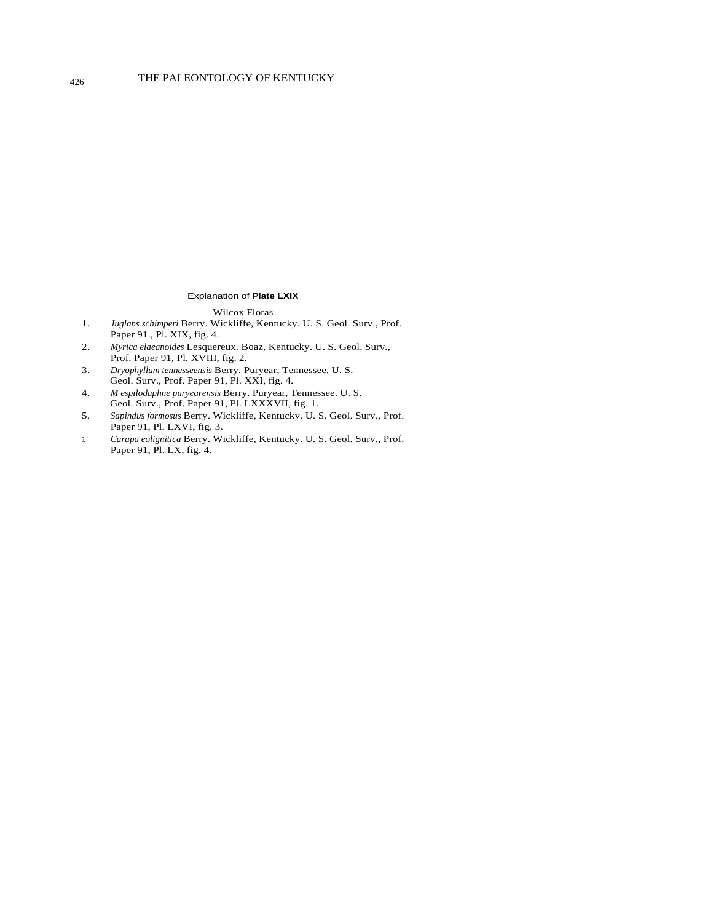#### Explanation of **Plate LXIX**

### Wilcox Floras

- 1. *Juglans schimperi* Berry. Wickliffe, Kentucky. U. S. Geol. Surv., Prof. Paper 91., Pl. XIX, fig. 4.
- 2. *Myrica elaeanoides* Lesquereux. Boaz, Kentucky. U. S. Geol. Surv., Prof. Paper 91, Pl. XVIII, fig. 2.
- 3. *Dryophyllum tennesseensis* Berry. Puryear, Tennessee. U. S. Geol. Surv., Prof. Paper 91, Pl. XXI, fig. 4.
- 4. *M espilodaphne puryearensis* Berry. Puryear, Tennessee. U. S. Geol. Surv., Prof. Paper 91, Pl. LXXXVII, fig. 1.
- 5. *Sapindus formosus* Berry. Wickliffe, Kentucky. U. S. Geol. Surv., Prof. Paper 91, Pl. LXVI, fig. 3.
- 6. *Carapa eolignitica* Berry. Wickliffe, Kentucky. U. S. Geol. Surv., Prof. Paper 91, Pl. LX, fig. 4.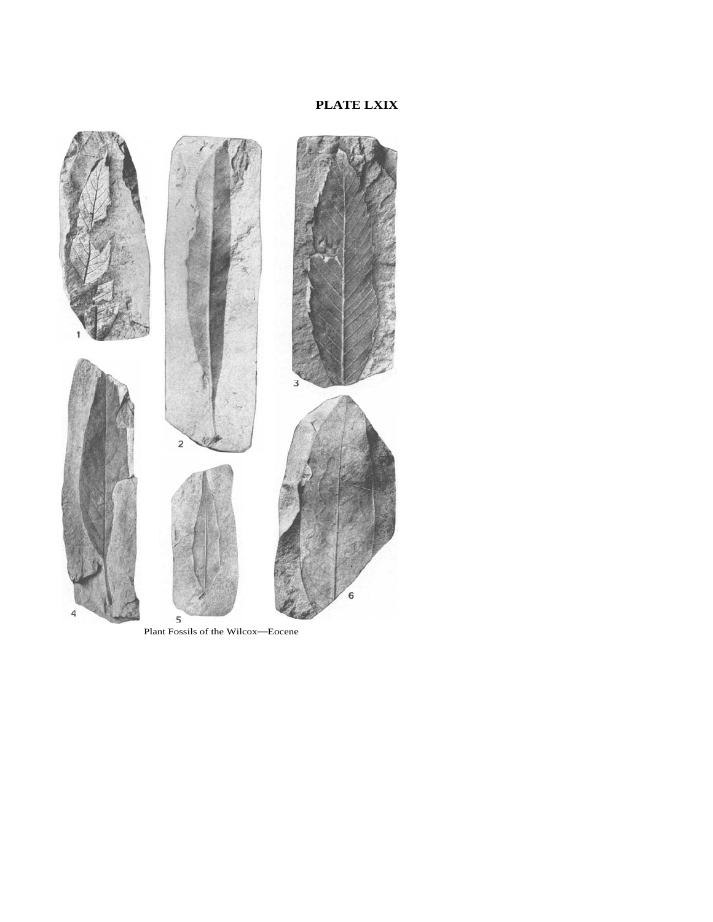# **PLATE LXIX**



Plant Fossils of the Wilcox—Eocene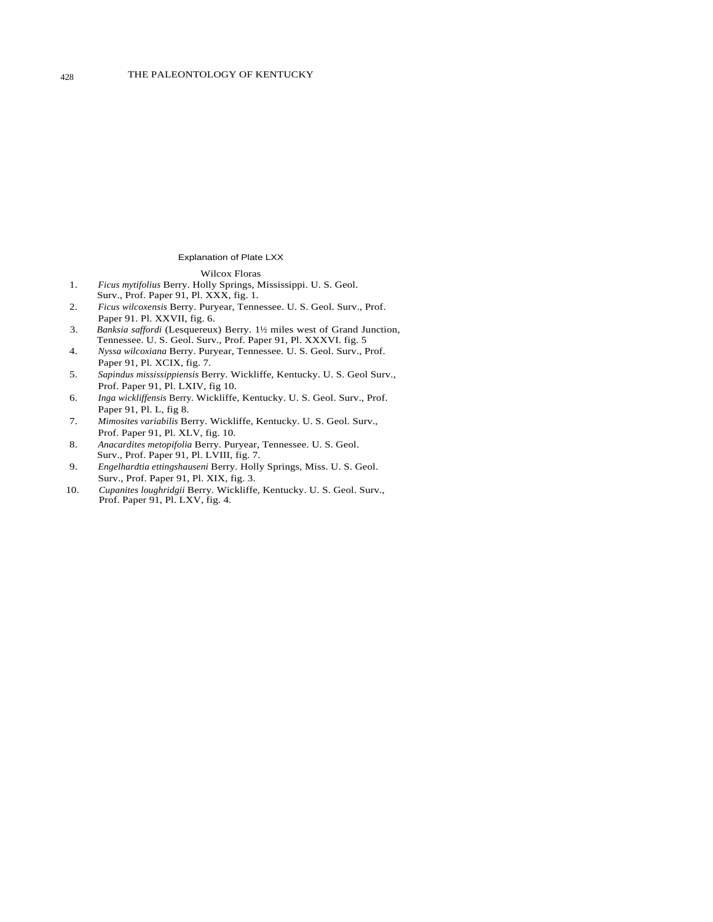#### Explanation of Plate LXX

#### Wilcox Floras

- 1. *Ficus mytifolius* Berry. Holly Springs, Mississippi. U. S. Geol. Surv., Prof. Paper 91, Pl. XXX, fig. 1.
- 2. *Ficus wilcoxensis* Berry. Puryear, Tennessee. U. S. Geol. Surv., Prof. Paper 91. Pl. XXVII, fig. 6.
- 3. *Banksia saffordi* (Lesquereux) Berry. 1½ miles west of Grand Junction, Tennessee. U. S. Geol. Surv., Prof. Paper 91, Pl. XXXVI. fig. 5
- 4. *Nyssa wilcoxiana* Berry. Puryear, Tennessee. U. S. Geol. Surv., Prof. Paper 91, Pl. XCIX, fig. 7.
- 5. *Sapindus mississippiensis* Berry. Wickliffe, Kentucky. U. S. Geol Surv., Prof. Paper 91, Pl. LXIV, fig 10.
- 6. *Inga wickliffensis* Berry*.* Wickliffe, Kentucky. U. S. Geol. Surv., Prof. Paper 91, Pl. L, fig 8.
- 7. *Mimosites variabilis* Berry. Wickliffe, Kentucky. U. S. Geol. Surv., Prof. Paper 91, Pl. XLV, fig. 10.
- 8. *Anacardites metopifolia* Berry. Puryear, Tennessee. U. S. Geol. Surv., Prof. Paper 91, Pl. LVIII, fig. 7.
- 9. *Engelhardtia ettingshauseni* Berry. Holly Springs, Miss. U. S. Geol. Surv., Prof. Paper 91, Pl. XIX, fig. 3.
- 10. *Cupanites loughridgii* Berry. Wickliffe, Kentucky. U. S. Geol. Surv., Prof. Paper 91, Pl. LXV, fig. 4.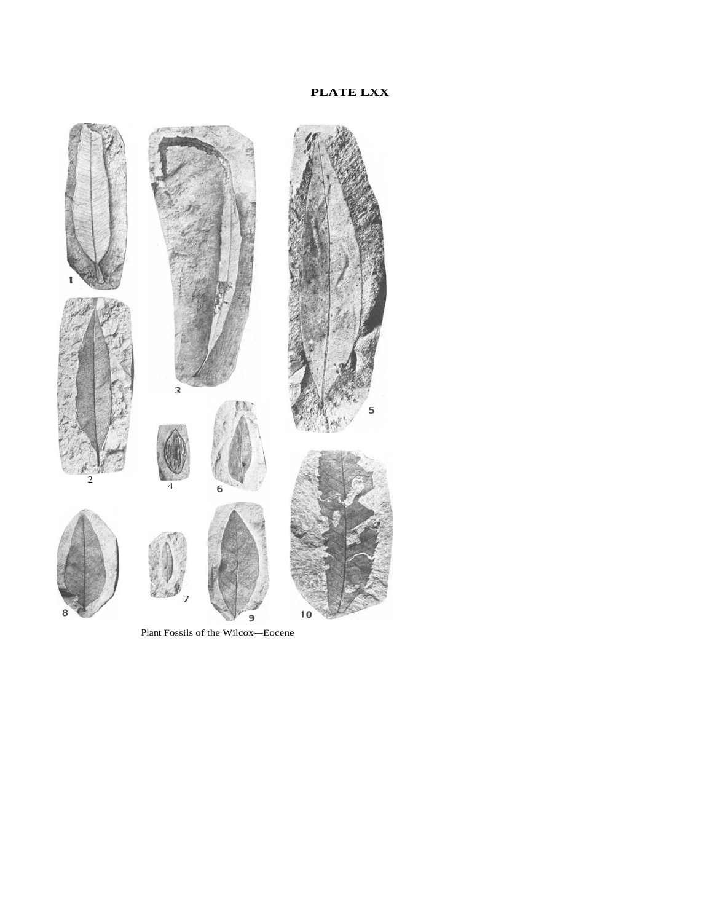

Plant Fossils of the Wilcox—Eocene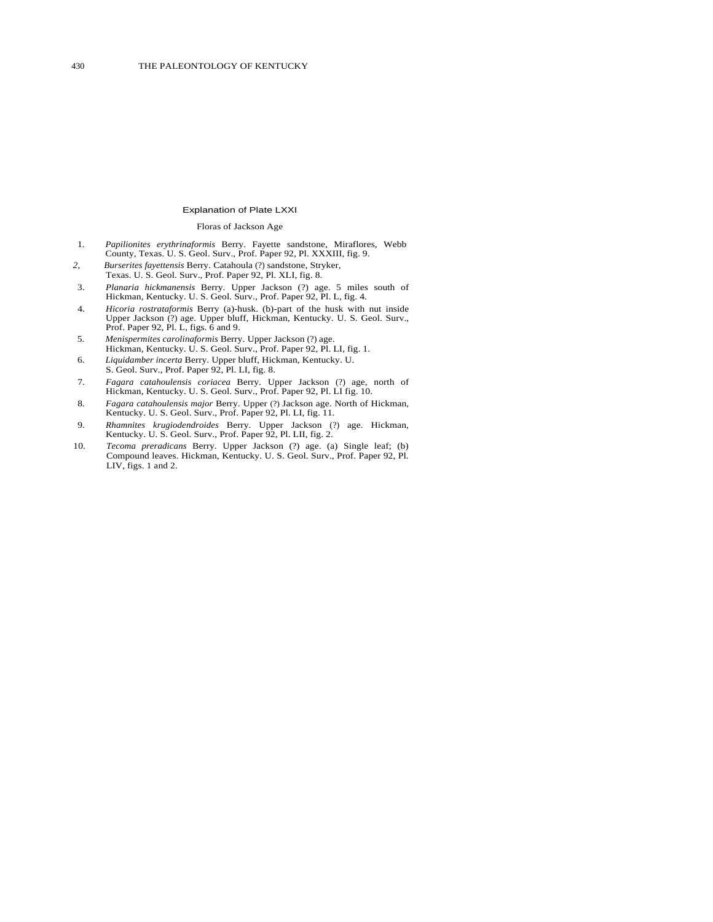#### Explanation of Plate LXXI

#### Floras of Jackson Age

- 1. *Papilionites erythrinaformis* Berry. Fayette sandstone, Miraflores, Webb County, Texas. U. S. Geol. Surv., Prof. Paper 92, Pl. XXXIII, fig. 9.
- *2, Burserites fayettensis* Berry. Catahoula (?) sandstone, Stryker, Texas. U. S. Geol. Surv., Prof. Paper 92, Pl. XLI, fig. 8.
- 3. *Planaria hickmanensis* Berry. Upper Jackson (?) age. 5 miles south of Hickman, Kentucky. U. S. Geol. Surv., Prof. Paper 92, Pl. L, fig. 4.
- 4. *Hicoria rostrataformis* Berry (a)-husk. (b)-part of the husk with nut inside Upper Jackson (?) age. Upper bluff, Hickman, Kentucky. U. S. Geol. Surv., Prof. Paper 92, Pl. L, figs. 6 and 9.
- 5. *Menispermites carolinaformis* Berry. Upper Jackson (?) age. Hickman, Kentucky. U. S. Geol. Surv., Prof. Paper 92, Pl. LI, fig. 1.
- 6. *Liquidamber incerta* Berry. Upper bluff, Hickman, Kentucky. U. S. Geol. Surv., Prof. Paper 92, Pl. LI, fig. 8.
- 7. *Fagara catahoulensis coriacea* Berry. Upper Jackson (?) age, north of Hickman, Kentucky. U. S. Geol. Surv., Prof. Paper 92, Pl. LI fig. 10.
- 8. *Fagara catahoulensis major* Berry. Upper (?) Jackson age. North of Hickman, Kentucky. U. S. Geol. Surv., Prof. Paper 92, Pl. LI, fig. 11.
- 9. *Rhamnites krugiodendroides* Berry. Upper Jackson (?) age. Hickman, Kentucky. U. S. Geol. Surv., Prof. Paper 92, Pl. LII, fig. 2.
- 10. *Tecoma preradicans* Berry. Upper Jackson (?) age. (a) Single leaf; (b) Compound leaves. Hickman, Kentucky. U. S. Geol. Surv., Prof. Paper 92, Pl. LIV, figs. 1 and 2.